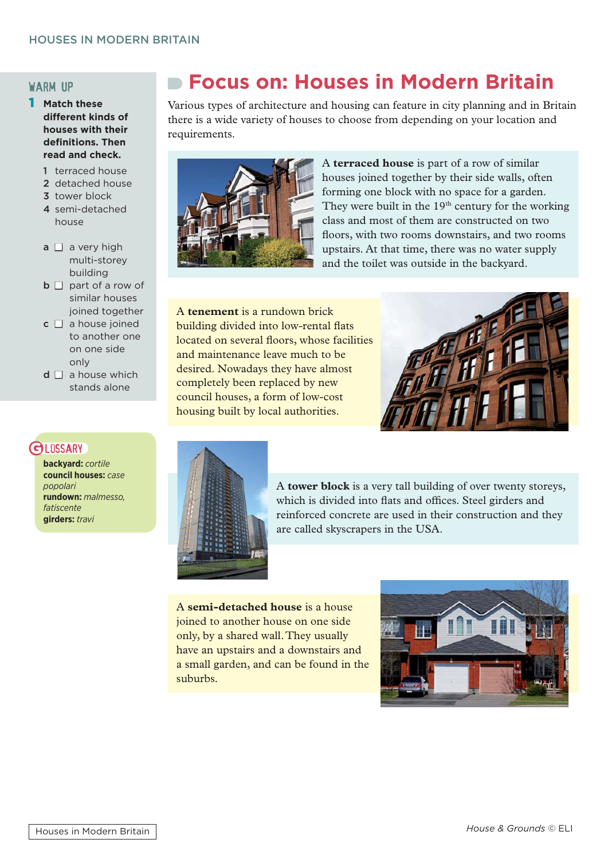#### warm up

- 1 **Match these different kinds of houses with their defi nitions. Then read and check.**
	- 1 terraced house
	- 2 detached house
	- 3 tower block
	- 4 semi-detached house
	- $a \Box$  a very high multi-storey building
	- $\mathbf{b} \Box$  part of a row of similar houses joined together
	- $c \Box$  a house joined to another one on one side only
	- $d \Box$  a house which stands alone

# **GLOSSARY**

**backyard:** *cortile* **council houses:** *case popolari* **rundown:** *malmesso, fatiscente*  **girders:** *travi*

# **Focus on: Houses in Modern Britain**

Various types of architecture and housing can feature in city planning and in Britain there is a wide variety of houses to choose from depending on your location and requirements.



A **terraced house** is part of a row of similar houses joined together by their side walls, often forming one block with no space for a garden. They were built in the  $19<sup>th</sup>$  century for the working class and most of them are constructed on two floors, with two rooms downstairs, and two rooms upstairs. At that time, there was no water supply and the toilet was outside in the backyard.

A **tenement** is a rundown brick building divided into low-rental flats located on several floors, whose facilities and maintenance leave much to be desired. Nowadays they have almost completely been replaced by new council houses, a form of low-cost housing built by local authorities.





A **tower block** is a very tall building of over twenty storeys, which is divided into flats and offices. Steel girders and reinforced concrete are used in their construction and they are called skyscrapers in the USA.

A **semi-detached house** is a house joined to another house on one side only, by a shared wall. They usually have an upstairs and a downstairs and a small garden, and can be found in the suburbs.

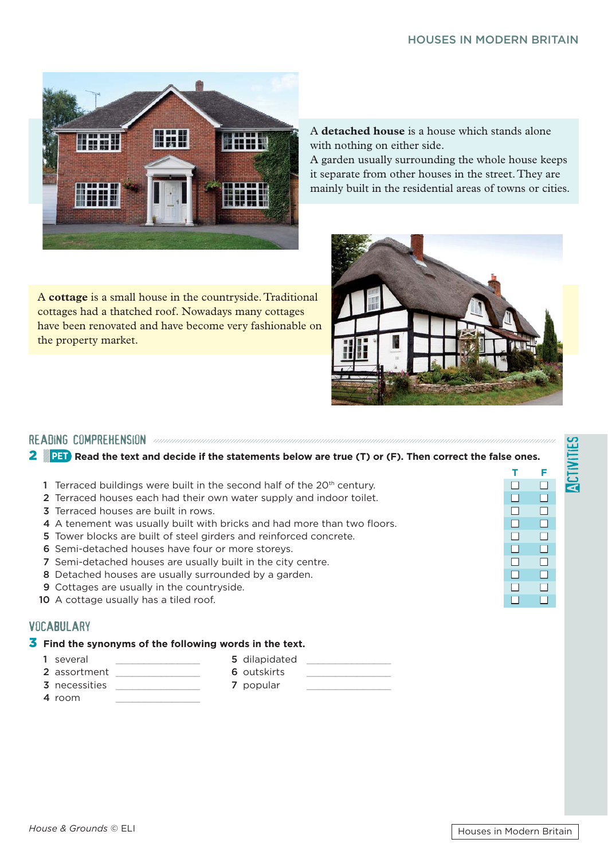### HOUSES IN MODERN BRITAIN



A **cottage** is a small house in the countryside. Traditional cottages had a thatched roof. Nowadays many cottages have been renovated and have become very fashionable on the property market.

A **detached house** is a house which stands alone with nothing on either side.

A garden usually surrounding the whole house keeps it separate from other houses in the street. They are mainly built in the residential areas of towns or cities.



reading comprehension 2 **PET Read the text and decide if the statements below are true (T) or (F). Then correct the false ones.**

- **T F** 1 Terraced buildings were built in the second half of the 20<sup>th</sup> century.  $\Box$ 
	- 2 Terraced houses each had their own water supply and indoor toilet.  $\Box$
	- 3 Terraced houses are built in rows.  $\Box$   $\Box$
	- 4 A tenement was usually built with bricks and had more than two floors.  $\Box$   $\Box$
	- 5 Tower blocks are built of steel girders and reinforced concrete.  $\Box$   $\Box$
	- 6 Semi-detached houses have four or more storeys.  $\Box$   $\Box$
	- 7 Semi-detached houses are usually built in the city centre.  $\Box$   $\Box$
	- 8 Detached houses are usually surrounded by a garden.  $\Box$
	- **9** Cottages are usually in the countryside.  $\Box$   $\Box$
	- 10 A cottage usually has a tiled roof.  $\Box$

### **VOCABULARY**

### 3 **Find the synonyms of the following words in the text.**

- 
- 1 several **1** several **5** dilapidated
- 2 assortment 6 outskirts
- 
- 4 room
- -
- 3 necessities **3 7** popular

Activities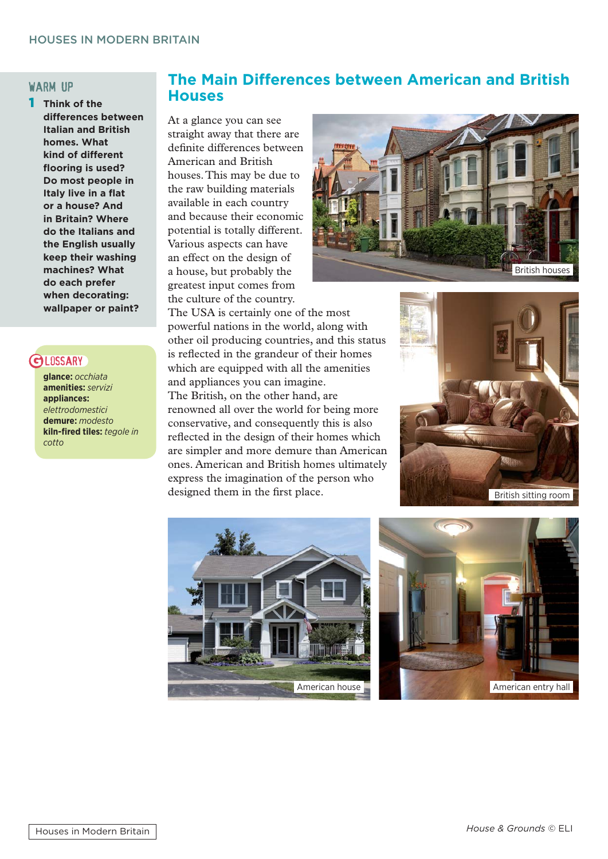#### warm up

1 **Think of the differences between Italian and British homes. What kind of different fl ooring is used? Do most people in Italy live in a flat or a house? And in Britain? Where do the Italians and the English usually keep their washing machines? What do each prefer when decorating: wallpaper or paint?**

## **GI DSSARY**

**glance:** *occhiata* **amenities:** *servizi* **appliances:**  *elettrodomestici* **demure:** *modesto* **kiln-fired tiles:** tegole in *cotto*

# **The Main Differences between American and British Houses**

At a glance you can see straight away that there are definite differences between American and British houses. This may be due to the raw building materials available in each country and because their economic potential is totally different. Various aspects can have an effect on the design of a house, but probably the greatest input comes from the culture of the country.



The USA is certainly one of the most powerful nations in the world, along with other oil producing countries, and this status is reflected in the grandeur of their homes which are equipped with all the amenities and appliances you can imagine. The British, on the other hand, are renowned all over the world for being more conservative, and consequently this is also reflected in the design of their homes which are simpler and more demure than American ones. American and British homes ultimately express the imagination of the person who designed them in the first place.





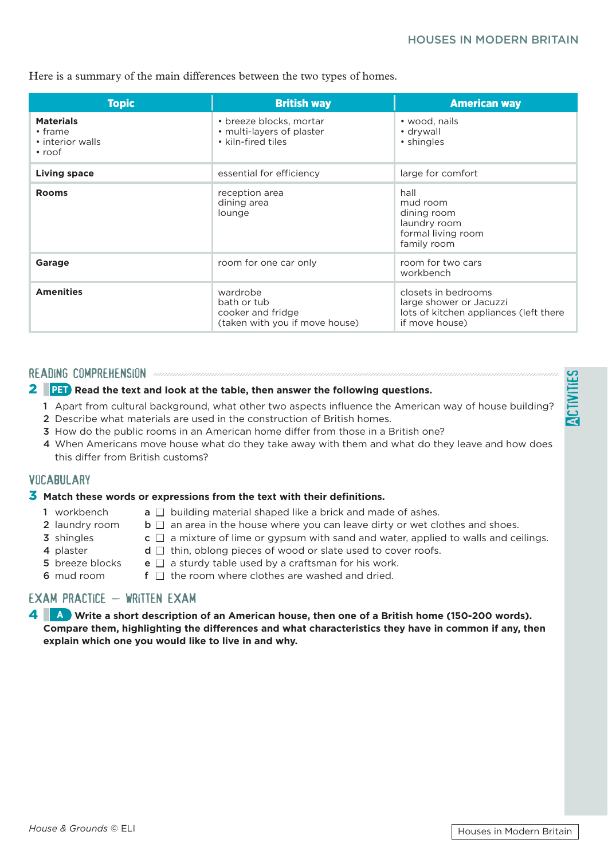Here is a summary of the main differences between the two types of homes.

| <b>Topic</b>                                                          | <b>British way</b>                                                             | <b>American way</b>                                                                                        |
|-----------------------------------------------------------------------|--------------------------------------------------------------------------------|------------------------------------------------------------------------------------------------------------|
| <b>Materials</b><br>$\cdot$ frame<br>• interior walls<br>$\cdot$ roof | • breeze blocks, mortar<br>• multi-layers of plaster<br>• kiln-fired tiles     | • wood, nails<br>• drywall<br>• shingles                                                                   |
| <b>Living space</b>                                                   | essential for efficiency                                                       | large for comfort                                                                                          |
| <b>Rooms</b>                                                          | reception area<br>dining area<br>lounge                                        | hall<br>mud room<br>dining room<br>laundry room<br>formal living room<br>family room                       |
| Garage                                                                | room for one car only                                                          | room for two cars<br>workbench                                                                             |
| <b>Amenities</b>                                                      | wardrobe<br>bath or tub<br>cooker and fridge<br>(taken with you if move house) | closets in bedrooms<br>large shower or Jacuzzi<br>lots of kitchen appliances (left there<br>if move house) |

#### READING COMPREHENSION *and comprehension comprehension comprehension comprehension comprehension comprehension*

#### 2 **PET Read the text and look at the table, then answer the following questions.**

- 1 Apart from cultural background, what other two aspects influence the American way of house building?
- 2 Describe what materials are used in the construction of British homes.
- 3 How do the public rooms in an American home differ from those in a British one?
- 4 When Americans move house what do they take away with them and what do they leave and how does this differ from British customs?

#### **VOCABULARY**

#### **3** Match these words or expressions from the text with their definitions.

- 
- 1 workbench **a**  $\Box$  building material shaped like a brick and made of ashes.
- 
- 
- 2 laundry room  $\mathbf{b} \square$  an area in the house where you can leave dirty or wet clothes and shoes. **3** shingles **c**  $\Box$  a mixture of lime or gypsum with sand and water, applied to walls and ceilings.
- 4 plaster **d**  $\Box$  thin, oblong pieces of wood or slate used to cover roofs.
- 
- **5** breeze blocks **e**  $\Box$  a sturdy table used by a craftsman for his work.
- 6 mud room  $\mathbf{f} \cap \mathbf{f}$  the room where clothes are washed and dried.

## $FXAM$  PRACTICE  $-$  WRITTEN EXAM

4 **A Write a short description of an American house, then one of a British home (150-200 words). Compare them, highlighting the differences and what characteristics they have in common if any, then explain which one you would like to live in and why.**

**Activities**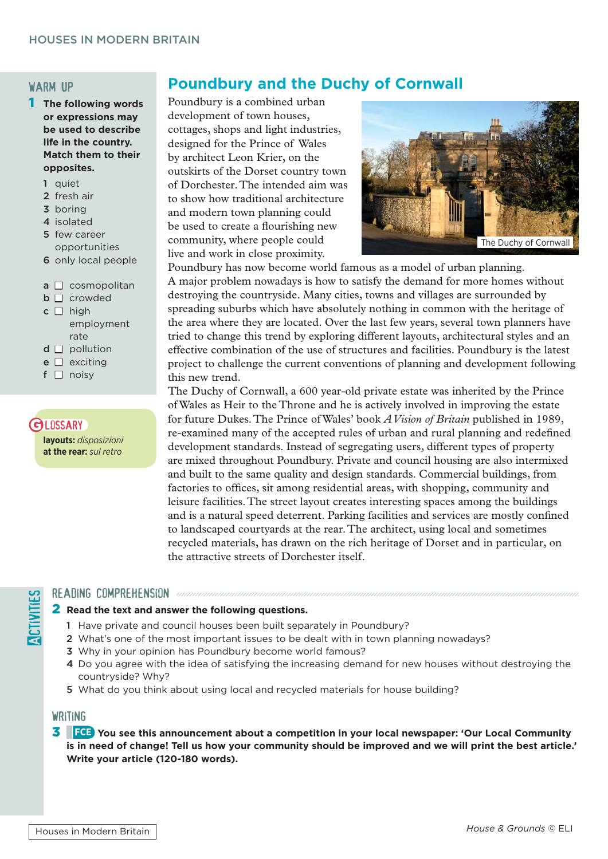#### warm up

- 1 **The following words or expressions may be used to describe life in the country. Match them to their opposites.**
	- 1 quiet
	- 2 fresh air
	- 3 boring
	- 4 isolated
	- 5 few career opportunities
	- 6 only local people
	- $a \Box$  cosmopolitan
	- $\Box$  **crowded**
	- $c \Box$  high employment rate
	- $d \square$  pollution
	- $e \Box$  exciting
	- $f \Box$  noisv

# **GLOSSARY**

**layouts:** *disposizioni* **at the rear:** *sul retro*

# **Poundbury and the Duchy of Cornwall**

Poundbury is a combined urban development of town houses, cottages, shops and light industries, designed for the Prince of Wales by architect Leon Krier, on the outskirts of the Dorset country town of Dorchester. The intended aim was to show how traditional architecture and modern town planning could be used to create a flourishing new community, where people could live and work in close proximity.



Poundbury has now become world famous as a model of urban planning. A major problem nowadays is how to satisfy the demand for more homes without destroying the countryside. Many cities, towns and villages are surrounded by spreading suburbs which have absolutely nothing in common with the heritage of the area where they are located. Over the last few years, several town planners have tried to change this trend by exploring different layouts, architectural styles and an effective combination of the use of structures and facilities. Poundbury is the latest project to challenge the current conventions of planning and development following this new trend.

The Duchy of Cornwall, a 600 year-old private estate was inherited by the Prince of Wales as Heir to the Throne and he is actively involved in improving the estate for future Dukes. The Prince of Wales' book *A Vision of Britain* published in 1989, re-examined many of the accepted rules of urban and rural planning and redefined development standards. Instead of segregating users, different types of property are mixed throughout Poundbury. Private and council housing are also intermixed and built to the same quality and design standards. Commercial buildings, from factories to offices, sit among residential areas, with shopping, community and leisure facilities. The street layout creates interesting spaces among the buildings and is a natural speed deterrent. Parking facilities and services are mostly confined to landscaped courtyards at the rear. The architect, using local and sometimes recycled materials, has drawn on the rich heritage of Dorset and in particular, on the attractive streets of Dorchester itself.

#### READING COMPREHENSION announcemental components

#### 2 **Read the text and answer the following questions.**

- 1 Have private and council houses been built separately in Poundbury?
- 2 What's one of the most important issues to be dealt with in town planning nowadays?
- 3 Why in your opinion has Poundbury become world famous?
- 4 Do you agree with the idea of satisfying the increasing demand for new houses without destroying the countryside? Why?
- 5 What do you think about using local and recycled materials for house building?

#### **WRITING**

3 **FCE You see this announcement about a competition in your local newspaper: 'Our Local Community is in need of change! Tell us how your community should be improved and we will print the best article.' Write your article (120-180 words).**

**Activities**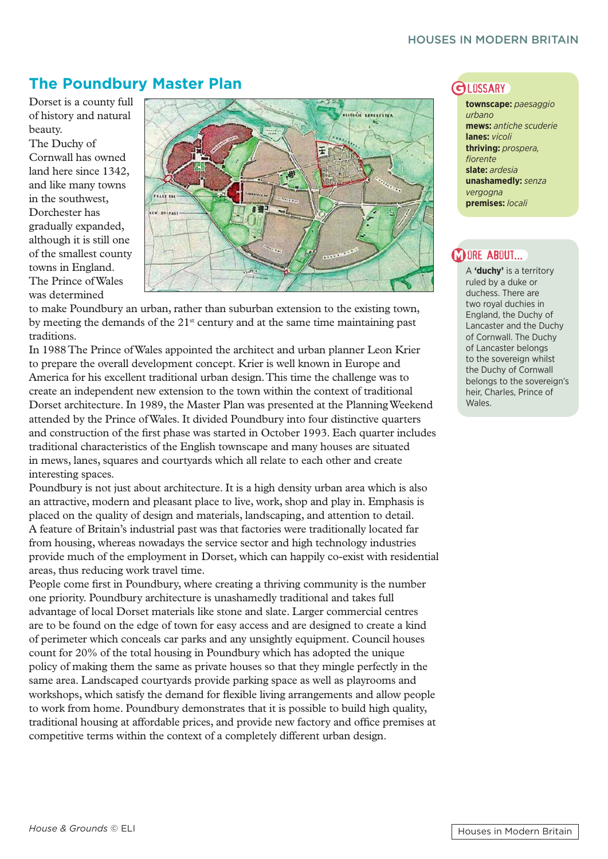# **The Poundbury Master Plan**  GLOSSARY

Dorset is a county full of history and natural beauty.

The Duchy of Cornwall has owned land here since 1342, and like many towns in the southwest, Dorchester has gradually expanded, although it is still one of the smallest county towns in England. The Prince of Wales was determined



to make Poundbury an urban, rather than suburban extension to the existing town, by meeting the demands of the  $21<sup>st</sup>$  century and at the same time maintaining past traditions.

In 1988 The Prince of Wales appointed the architect and urban planner Leon Krier to prepare the overall development concept. Krier is well known in Europe and America for his excellent traditional urban design. This time the challenge was to create an independent new extension to the town within the context of traditional Dorset architecture. In 1989, the Master Plan was presented at the Planning Weekend attended by the Prince of Wales. It divided Poundbury into four distinctive quarters and construction of the first phase was started in October 1993. Each quarter includes traditional characteristics of the English townscape and many houses are situated in mews, lanes, squares and courtyards which all relate to each other and create interesting spaces.

Poundbury is not just about architecture. It is a high density urban area which is also an attractive, modern and pleasant place to live, work, shop and play in. Emphasis is placed on the quality of design and materials, landscaping, and attention to detail. A feature of Britain's industrial past was that factories were traditionally located far from housing, whereas nowadays the service sector and high technology industries provide much of the employment in Dorset, which can happily co-exist with residential areas, thus reducing work travel time.

People come first in Poundbury, where creating a thriving community is the number one priority. Poundbury architecture is unashamedly traditional and takes full advantage of local Dorset materials like stone and slate. Larger commercial centres are to be found on the edge of town for easy access and are designed to create a kind of perimeter which conceals car parks and any unsightly equipment. Council houses count for 20% of the total housing in Poundbury which has adopted the unique policy of making them the same as private houses so that they mingle perfectly in the same area. Landscaped courtyards provide parking space as well as playrooms and workshops, which satisfy the demand for flexible living arrangements and allow people to work from home. Poundbury demonstrates that it is possible to build high quality, traditional housing at affordable prices, and provide new factory and office premises at competitive terms within the context of a completely different urban design.

**townscape:** *paesaggio urbano* **mews:** *antiche scuderie* **lanes:** *vicoli* **thriving:** *prospera, fi orente* **slate:** *ardesia* **unashamedly:** *senza vergogna* **premises:** *locali*

# **M ORE ABOUT...**

A **'duchy'** is a territory ruled by a duke or duchess. There are two royal duchies in England, the Duchy of Lancaster and the Duchy of Cornwall. The Duchy of Lancaster belongs to the sovereign whilst the Duchy of Cornwall belongs to the sovereign's heir, Charles, Prince of Wales.